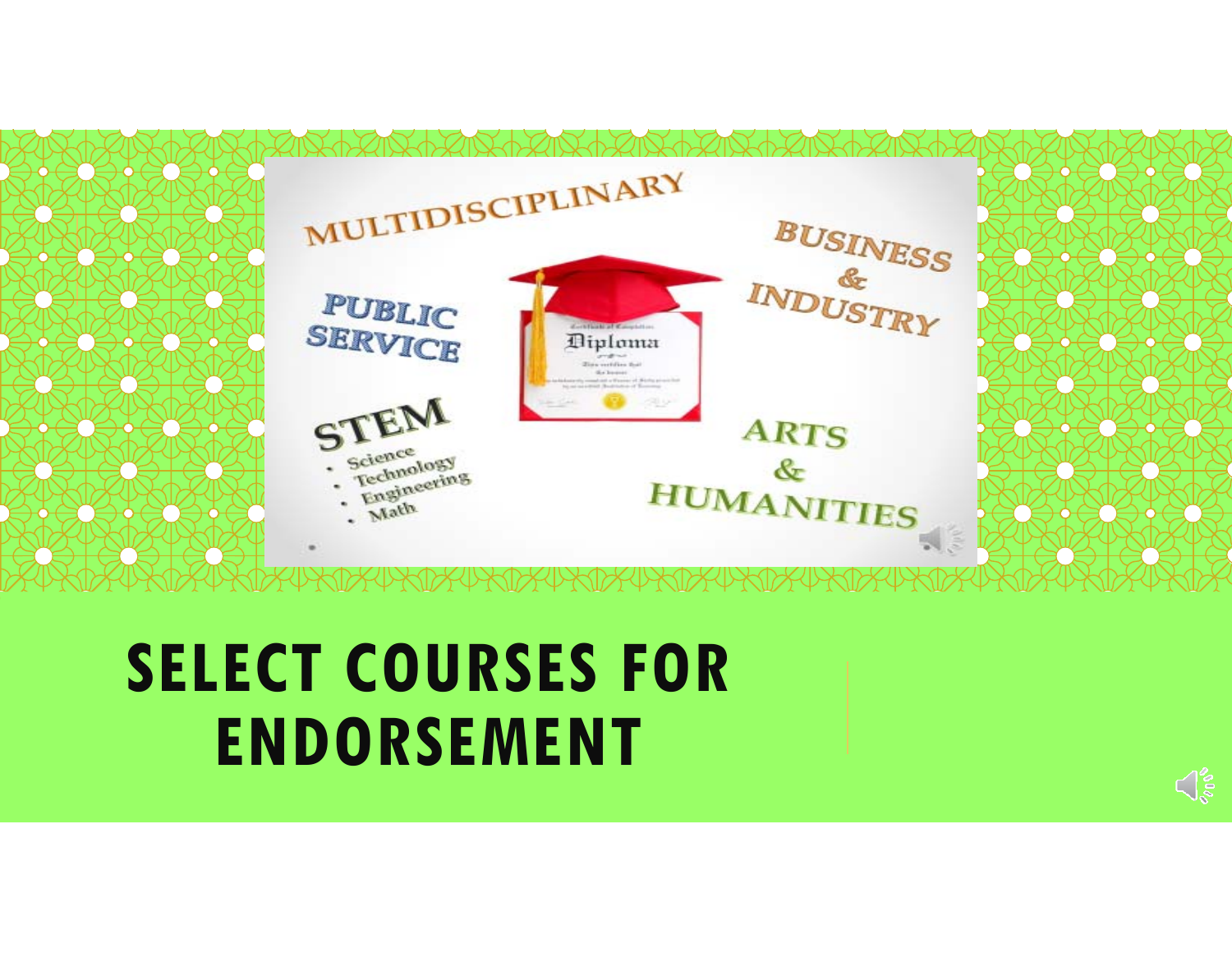# **SELECT COURSES FOR ENDORSEMENT**



 $\bigwedge^{\bullet}_{\mathbb{S}}$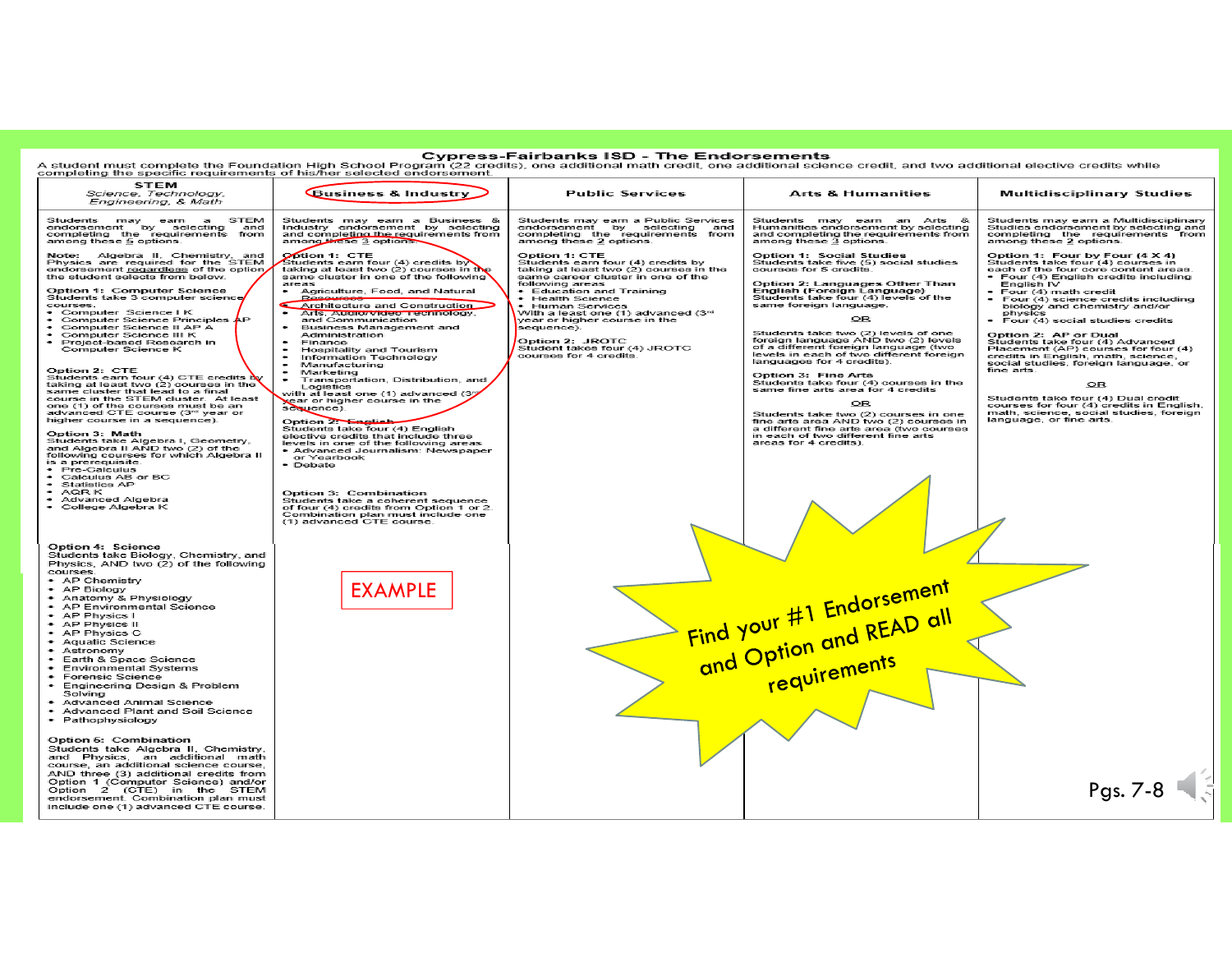| <b>Cypress-Fairbanks ISD - The Endorsements</b><br>A student must complete the Foundation High School Program (22 credits), one additional math credit, one additional science credit, and two additional elective credits while<br>completing the specific requirements of his/her                                                                                                                                                                                                                                                                                                                                                                                                                                                                                                                                                                                                                                                                                                |                                                                                                                                                                                                                                                                                                                                                                                                                                                                                                                                                                                                                                                                                                                                                                                                                                                                                                                                                                     |                                                                                                                                                                                                                                                                                                                                                                                                          |                                                                                                                                                                                                                                                                                                                                                                                                                                                                                                                                                                                                                                                                                                                                         |                                                                                                                                                                                                                                                                                                                                                                                                                                                                                                                                                                                                                                                                            |  |  |
|------------------------------------------------------------------------------------------------------------------------------------------------------------------------------------------------------------------------------------------------------------------------------------------------------------------------------------------------------------------------------------------------------------------------------------------------------------------------------------------------------------------------------------------------------------------------------------------------------------------------------------------------------------------------------------------------------------------------------------------------------------------------------------------------------------------------------------------------------------------------------------------------------------------------------------------------------------------------------------|---------------------------------------------------------------------------------------------------------------------------------------------------------------------------------------------------------------------------------------------------------------------------------------------------------------------------------------------------------------------------------------------------------------------------------------------------------------------------------------------------------------------------------------------------------------------------------------------------------------------------------------------------------------------------------------------------------------------------------------------------------------------------------------------------------------------------------------------------------------------------------------------------------------------------------------------------------------------|----------------------------------------------------------------------------------------------------------------------------------------------------------------------------------------------------------------------------------------------------------------------------------------------------------------------------------------------------------------------------------------------------------|-----------------------------------------------------------------------------------------------------------------------------------------------------------------------------------------------------------------------------------------------------------------------------------------------------------------------------------------------------------------------------------------------------------------------------------------------------------------------------------------------------------------------------------------------------------------------------------------------------------------------------------------------------------------------------------------------------------------------------------------|----------------------------------------------------------------------------------------------------------------------------------------------------------------------------------------------------------------------------------------------------------------------------------------------------------------------------------------------------------------------------------------------------------------------------------------------------------------------------------------------------------------------------------------------------------------------------------------------------------------------------------------------------------------------------|--|--|
| <b>STEM</b><br>Science, Technology,<br>Engineering, & Math                                                                                                                                                                                                                                                                                                                                                                                                                                                                                                                                                                                                                                                                                                                                                                                                                                                                                                                         | Business & Industry                                                                                                                                                                                                                                                                                                                                                                                                                                                                                                                                                                                                                                                                                                                                                                                                                                                                                                                                                 | <b>Public Services</b>                                                                                                                                                                                                                                                                                                                                                                                   | <b>Arts &amp; Humanities</b>                                                                                                                                                                                                                                                                                                                                                                                                                                                                                                                                                                                                                                                                                                            | <b>Multidisciplinary Studies</b>                                                                                                                                                                                                                                                                                                                                                                                                                                                                                                                                                                                                                                           |  |  |
| Students<br><b>STEM</b><br>may<br>earn<br>$\mathbf{a}$<br>endorsement by selecting<br>and<br>completing the requirements from<br>among these 5 options.                                                                                                                                                                                                                                                                                                                                                                                                                                                                                                                                                                                                                                                                                                                                                                                                                            | Students may earn a Business &<br>Industry endorsement by selecting<br>and completing the requirements from<br>among these 3 options                                                                                                                                                                                                                                                                                                                                                                                                                                                                                                                                                                                                                                                                                                                                                                                                                                | Students may earn a Public Services<br>endorsement by selecting<br>and<br>completing the requirements from<br>among these 2 options.                                                                                                                                                                                                                                                                     | Students may earn an Arts<br>-8<br>Humanities endorsement by selecting<br>and completing the requirements from<br>among these 3 options.                                                                                                                                                                                                                                                                                                                                                                                                                                                                                                                                                                                                | Students may earn a Multidisciplinary<br>Studies endorsement by selecting and<br>completing the requirements from<br>among these 2 options.                                                                                                                                                                                                                                                                                                                                                                                                                                                                                                                                |  |  |
| Algebra II, Chemistry, and<br>Note:<br>Physics are required for the STEM<br>endorsement regardless of the option<br>the student selects from below.<br>Option 1: Computer Science<br>Students take 3 computer science<br>courses.<br>Computer Science I K<br>Computer Science Principles AP<br>Computer Science II AP A<br>Computer Science III K<br>Project-based Research in<br>Computer Science K<br>Option 2: CTE<br>Students earn four (4) CTE credits by<br>taking at least two (2) courses in the<br>same cluster that lead to a final<br>course in the STEM cluster. At least<br>one (1) of the courses must be an<br>advanced CTE course (3rd year or<br>higher course in a sequence).<br>Option 3: Math<br>Students take Algebra I, Geometry,<br>and Algebra II AND two (2) of the<br>following courses for which Algebra II<br>is a prerequisite.<br>Pre-Calculus<br>Calculus AB or BC<br><b>Statistics AP</b><br>AQR K<br><b>Advanced Algebra</b><br>College Algebra K | Option 1: CTE<br>Students earn four (4) credits by<br>taking at least two (2) courses in the<br>same cluster in one of the following<br>areas<br>Agriculture, Food, and Natural<br>Reso<br>Architecture and Construction<br>Arts, Audio/Video Technology,<br>and Communication<br><b>Business Management and</b><br>Administration<br>Finance<br><b>Hospitality and Tourism</b><br><b>Information Technology</b><br>Manufacturing<br>Marketing<br>Transportation, Distribution, and<br>Logistics<br>with at least one (1) advanced (3%<br>year or higher course in the<br>sequence).<br>Option 2: English<br>Students take four (4) English<br>elective credits that include three<br>levels in one of the following areas<br>· Advanced Journalism: Newspaper<br>or Yearbook<br>• Debate<br>Option 3: Combination<br>Students take a coherent sequence<br>of four (4) credits from Option 1 or 2.<br>Combination plan must include one<br>(1) advanced CTE course. | Option 1: CTE<br>Students earn four (4) credits by<br>taking at least two (2) courses in the<br>same career cluster in one of the<br>following areas<br><b>Education and Training</b><br><b>Health Science</b><br><b>Human Services</b><br>With a least one (1) advanced (3rd<br>vear or higher course in the<br>sequence).<br>Option 2: JROTC<br>Student takes four (4) JROTC<br>courses for 4 credits. | Option 1: Social Studies<br>Students take five (5) social studies<br>courses for 5 credits.<br>Option 2: Languages Other Than<br>English (Foreign Language)<br>Students take four (4) levels of the<br>same foreign language.<br>OR<br>Students take two (2) levels of one<br>foreign language AND two (2) levels<br>of a different foreign language (two<br>levels in each of two different foreign<br>languages for 4 credits).<br>Option 3: Fine Arts<br>Students take four (4) courses in the<br>same fine arts area for 4 credits<br>OR<br>Students take two (2) courses in one<br>fine arts area AND two (2) courses in<br>a different fine arts area (two courses<br>in each of two different fine arts<br>areas for 4 credits). | Option 1: Four by Four (4 X 4)<br>Students take four (4) courses in<br>each of the four core content areas.<br>• Four (4) English credits including<br>English IV<br>Four (4) math credit<br>Four (4) science credits including<br>biology and chemistry and/or<br>physics<br>· Four (4) social studies credits<br>Option 2: AP or Dual<br>Students take four (4) Advanced<br>Placement (AP) courses for four (4)<br>credits in English, math, science,<br>social studies, foreign language, or<br>fine arts.<br>OR<br>Students take four (4) Dual credit<br>courses for four (4) credits in English,<br>math, science, social studies, foreign<br>language, or fine arts. |  |  |
| Option 4: Science<br>Students take Biology, Chemistry, and<br>Physics, AND two (2) of the following<br>courses<br>• AP Chemistry<br>• AP Biology<br>• Anatomy & Physiology<br>• AP Environmental Science<br>• AP Physics I<br>• AP Physics II<br>• AP Physics C<br>• Aquatic Science<br>• Astronomy<br>• Earth & Space Science<br><b>Environmental Systems</b><br>• Forensic Science<br>Engineering Design & Problem<br>۰<br>Solving<br>Advanced Animal Science<br>Advanced Plant and Soil Science<br>• Pathophysiology<br>Option 5: Combination<br>Students take Algebra II, Chemistry,<br>and Physics, an additional math<br>course, an additional science course,<br>AND three (3) additional credits from<br>Option 1 (Computer Science) and/or<br>Option 2 (CTE) in the STEM<br>endorsement. Combination plan must<br>include one (1) advanced CTE course.                                                                                                                    | <b>EXAMPLE</b>                                                                                                                                                                                                                                                                                                                                                                                                                                                                                                                                                                                                                                                                                                                                                                                                                                                                                                                                                      |                                                                                                                                                                                                                                                                                                                                                                                                          | Find your #1 Endorsement<br>and Option and READ all<br>requirements                                                                                                                                                                                                                                                                                                                                                                                                                                                                                                                                                                                                                                                                     | Pas. 7-8                                                                                                                                                                                                                                                                                                                                                                                                                                                                                                                                                                                                                                                                   |  |  |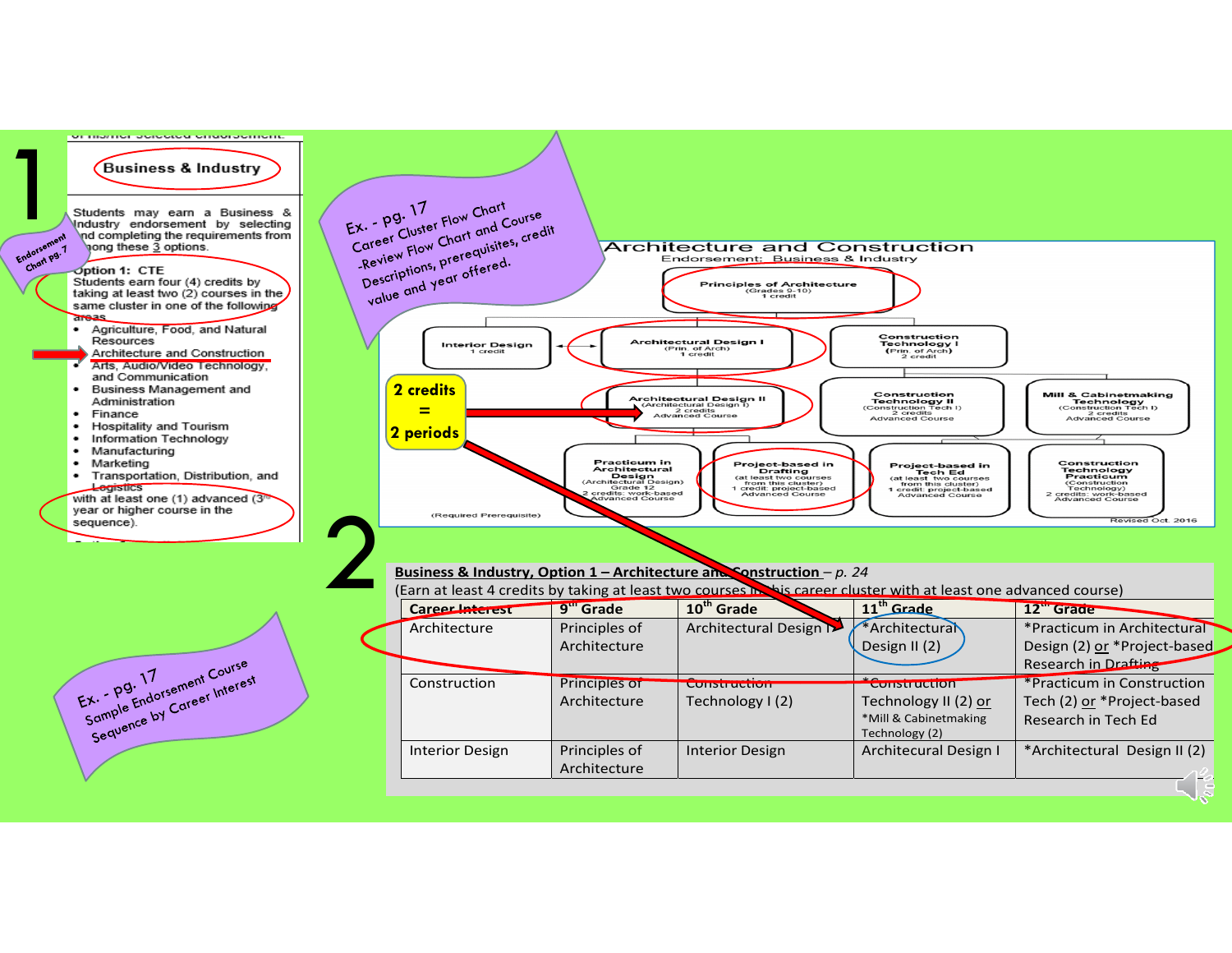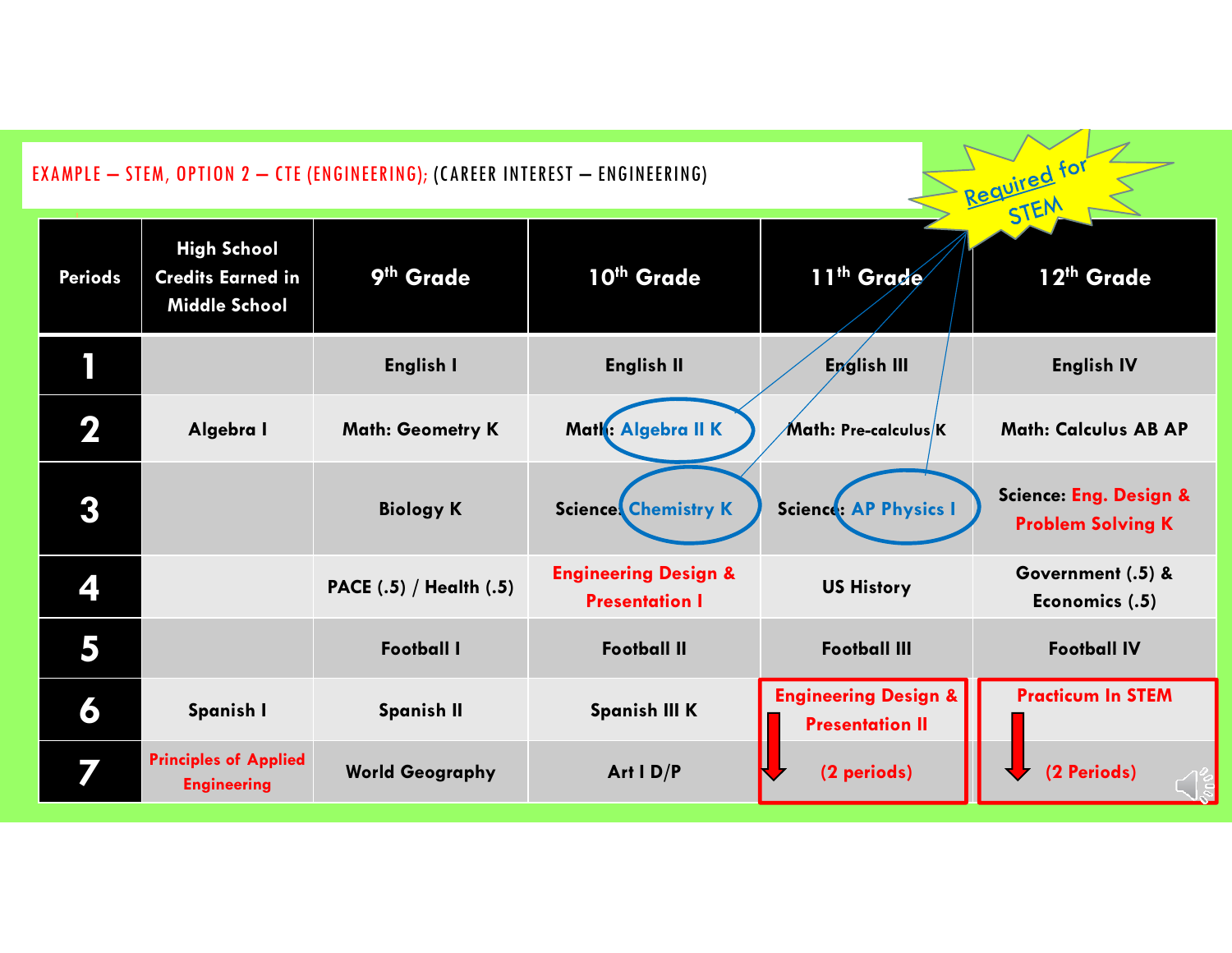| Required for<br>EXAMPLE - STEM, OPTION 2 - CTE (ENGINEERING); (CAREER INTEREST - ENGINEERING) |                                                                        |                         |                                                          |                                                           |                                                    |  |
|-----------------------------------------------------------------------------------------------|------------------------------------------------------------------------|-------------------------|----------------------------------------------------------|-----------------------------------------------------------|----------------------------------------------------|--|
| <b>Periods</b>                                                                                | <b>High School</b><br><b>Credits Earned in</b><br><b>Middle School</b> | 9th Grade               | 10th Grade                                               | 11th Grade                                                | 12th Grade                                         |  |
| 1                                                                                             |                                                                        | English I               | English II                                               | English III                                               | <b>English IV</b>                                  |  |
| $\mathbf 2$                                                                                   | Algebra I                                                              | <b>Math: Geometry K</b> | Math: Algebra II K                                       | Math: Pre-calculus/K                                      | <b>Math: Calculus AB AP</b>                        |  |
| 3                                                                                             |                                                                        | <b>Biology K</b>        | <b>Science, Chemistry K</b>                              | Science: AP Physics                                       | Science: Eng. Design &<br><b>Problem Solving K</b> |  |
| 4                                                                                             |                                                                        | PACE (.5) / Health (.5) | <b>Engineering Design &amp;</b><br><b>Presentation I</b> | <b>US History</b>                                         | Government (.5) &<br>Economics (.5)                |  |
| 5                                                                                             |                                                                        | <b>Football I</b>       | <b>Football II</b>                                       | <b>Football III</b>                                       | <b>Football IV</b>                                 |  |
| 6                                                                                             | Spanish I                                                              | Spanish II              | <b>Spanish III K</b>                                     | <b>Engineering Design &amp;</b><br><b>Presentation II</b> | <b>Practicum In STEM</b>                           |  |
| 7                                                                                             | <b>Principles of Applied</b><br><b>Engineering</b>                     | <b>World Geography</b>  | Art I D/P                                                | (2 periods)                                               | (2 Periods)                                        |  |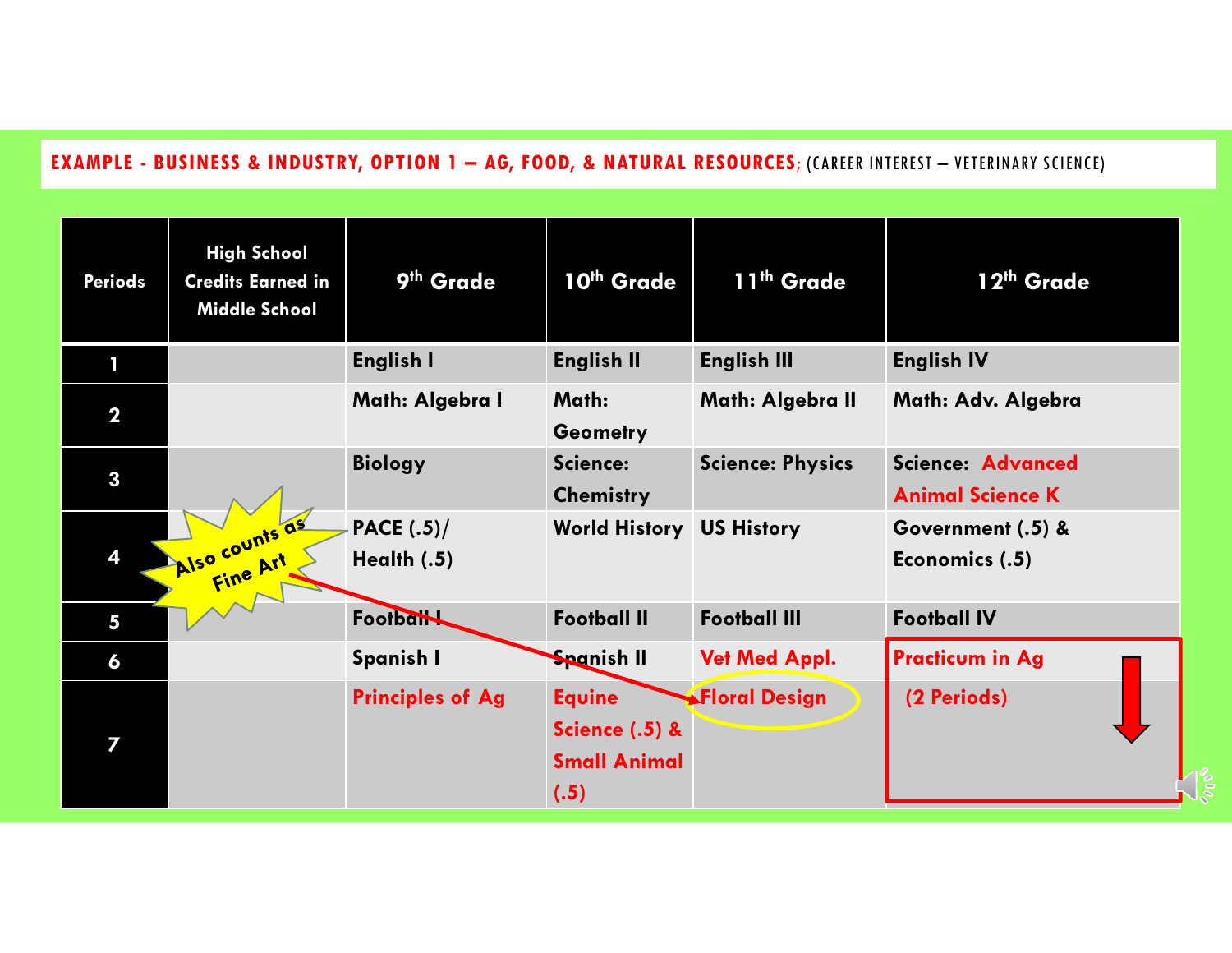#### **EXAMPLE - BUSINESS & INDUSTRY, OPTION 1 – AG, FOOD, & NATURAL RESOURCES**; (CAREER INTEREST – VETERINARY SCIENCE)

| <b>Periods</b>          | <b>High School</b><br><b>Credits Earned in</b><br><b>Middle School</b> | 9th Grade                        | 10th Grade                                                     | 11th Grade              | 12th Grade                                          |
|-------------------------|------------------------------------------------------------------------|----------------------------------|----------------------------------------------------------------|-------------------------|-----------------------------------------------------|
| 1                       |                                                                        | English I                        | <b>English II</b>                                              | <b>English III</b>      | <b>English IV</b>                                   |
| $\overline{\mathbf{2}}$ |                                                                        | Math: Algebra I                  | Math:<br><b>Geometry</b>                                       | Math: Algebra II        | Math: Adv. Algebra                                  |
| $\overline{\mathbf{3}}$ |                                                                        | <b>Biology</b>                   | Science:<br>Chemistry                                          | <b>Science: Physics</b> | <b>Science: Advanced</b><br><b>Animal Science K</b> |
| 4                       | Also counts as<br>Fine Art                                             | <b>PACE (.5)/</b><br>Health (.5) | <b>World History</b>                                           | <b>US History</b>       | Government (.5) &<br>Economics (.5)                 |
| 5                       |                                                                        | Football                         | <b>Football II</b>                                             | <b>Football III</b>     | <b>Football IV</b>                                  |
| 6                       |                                                                        | Spanish I                        | Spanish II                                                     | <b>Vet Med Appl.</b>    | <b>Practicum in Ag</b>                              |
| 7                       |                                                                        | <b>Principles of Ag</b>          | <b>Equine</b><br>Science (.5) &<br><b>Small Animal</b><br>(.5) | <b>Floral Design</b>    | (2 Periods)                                         |

 $\int_{\delta}^2$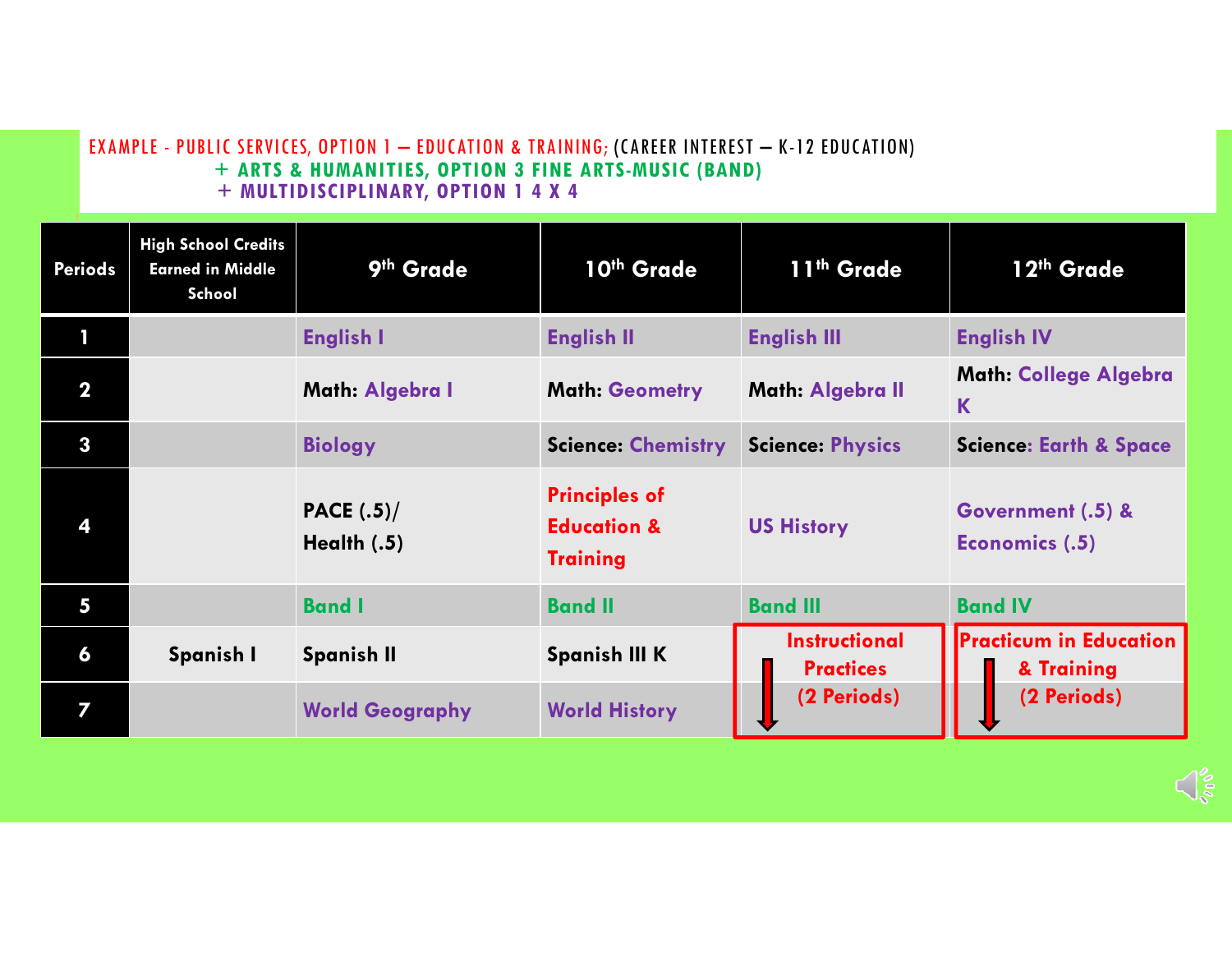#### EXAMPLE - PUBLIC SERVICES, OPTION 1 – EDUCATION & TRAINING; (CAREER INTEREST – K-12 EDUCATION) **+ ARTS & HUMANITIES, OPTION 3 FINE ARTS-MUSIC (BAND) + MULTIDISCIPLINARY, OPTION 1 4 X 4**

| <b>Periods</b>          | <b>High School Credits</b><br><b>Earned in Middle</b><br>School | 9th Grade                        | 10th Grade                                                        | 11th Grade                               | 12th Grade                                  |
|-------------------------|-----------------------------------------------------------------|----------------------------------|-------------------------------------------------------------------|------------------------------------------|---------------------------------------------|
|                         |                                                                 | <b>English I</b>                 | <b>English II</b>                                                 | <b>English III</b>                       | <b>English IV</b>                           |
| $\overline{\mathbf{2}}$ |                                                                 | Math: Algebra I                  | <b>Math: Geometry</b>                                             | Math: Algebra II                         | <b>Math: College Algebra</b><br>K           |
| $\mathbf{3}$            |                                                                 | <b>Biology</b>                   | <b>Science: Chemistry</b>                                         | <b>Science: Physics</b>                  | <b>Science: Earth &amp; Space</b>           |
| 4                       |                                                                 | <b>PACE (.5)/</b><br>Health (.5) | <b>Principles of</b><br><b>Education &amp;</b><br><b>Training</b> | <b>US History</b>                        | Government (.5) &<br>Economics (.5)         |
| 5                       |                                                                 | <b>Band I</b>                    | <b>Band II</b>                                                    | <b>Band III</b>                          | <b>Band IV</b>                              |
| 6                       | Spanish I                                                       | <b>Spanish II</b>                | <b>Spanish III K</b>                                              | <b>Instructional</b><br><b>Practices</b> | <b>Practicum in Education</b><br>& Training |
| 7                       |                                                                 | <b>World Geography</b>           | <b>World History</b>                                              | (2 Periods)                              | (2 Periods)                                 |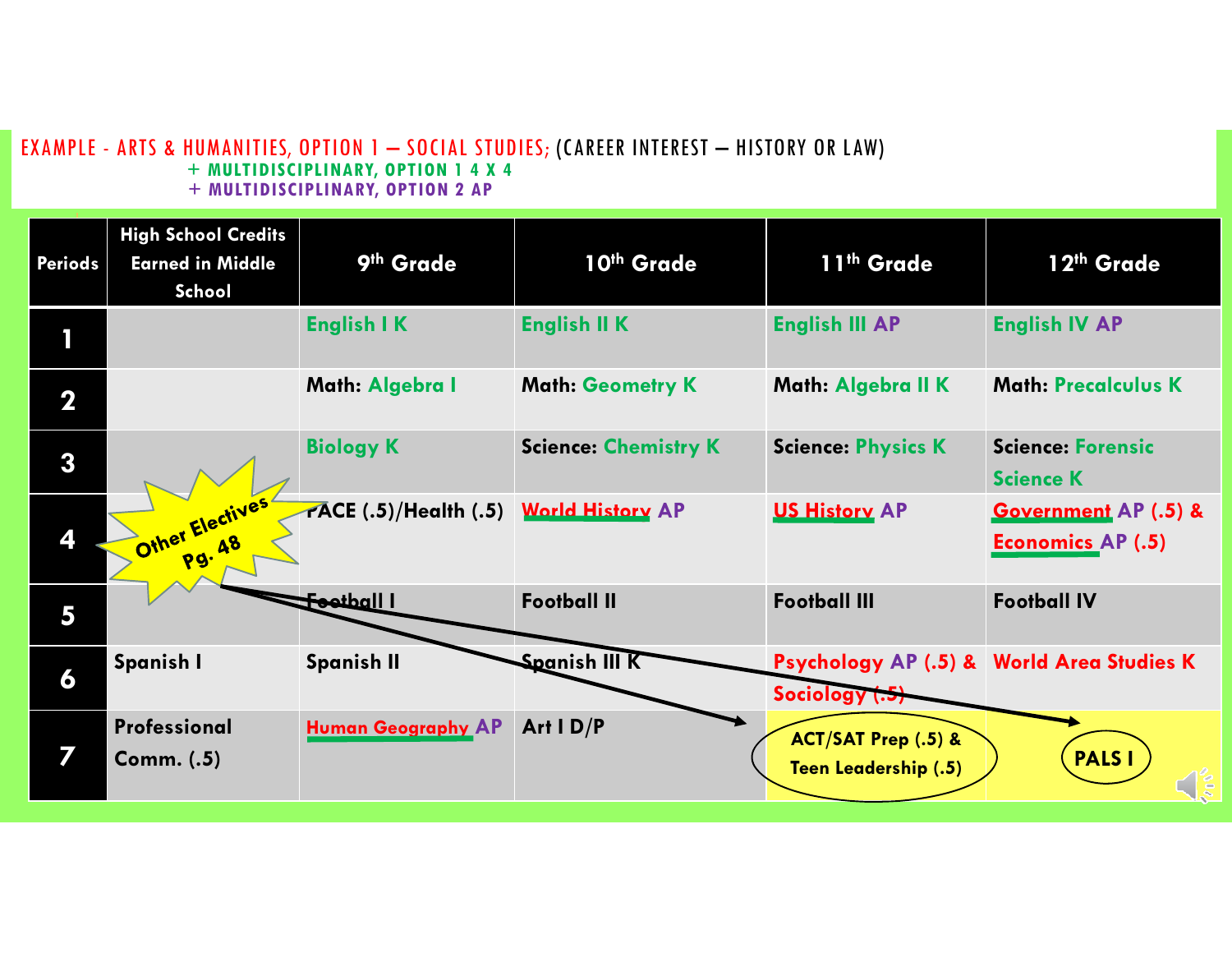#### EXAMPLE - ARTS & HUMANITIES, OPTION 1 – SOCIAL STUDIES; (CAREER INTEREST – HISTORY OR LAW) **+ MULTIDISCIPLINARY, OPTION 1 4 X 4 + MULTIDISCIPLINARY, OPTION 2 AP**

| <b>Periods</b>   | <b>High School Credits</b><br><b>Earned in Middle</b><br>School | 9th Grade                                   | 10th Grade                  | 11 <sup>th</sup> Grade                                        | 12th Grade                                                  |
|------------------|-----------------------------------------------------------------|---------------------------------------------|-----------------------------|---------------------------------------------------------------|-------------------------------------------------------------|
|                  |                                                                 | <b>English I K</b>                          | <b>English II K</b>         | <b>English III AP</b>                                         | <b>English IV AP</b>                                        |
| $\mathbf 2$      |                                                                 | Math: Algebra I                             | <b>Math: Geometry K</b>     | Math: Algebra II K                                            | <b>Math: Precalculus K</b>                                  |
| $\boldsymbol{3}$ |                                                                 | <b>Biology K</b>                            | <b>Science: Chemistry K</b> | <b>Science: Physics K</b>                                     | <b>Science: Forensic</b><br><b>Science K</b>                |
| 4                | Other Electives<br>Pg. 48                                       | $\overline{\mathsf{rACE}}$ (.5)/Health (.5) | <b>World History AP</b>     | <b>US History AP</b>                                          | <b>Government AP (.5) &amp;</b><br><b>Economics AP (.5)</b> |
| 5                |                                                                 | ا <u>  adtee</u>                            | <b>Football II</b>          | <b>Football III</b>                                           | <b>Football IV</b>                                          |
| 6                | Spanish I                                                       | <b>Spanish II</b>                           | Spanish III K               | Sociology (.5)                                                | Psychology AP (.5) & World Area Studies K                   |
|                  | <b>Professional</b><br>Comm. (.5)                               | <b>Human Geography AP</b>                   | Art I D/P                   | <b>ACT/SAT Prep (.5) &amp;</b><br><b>Teen Leadership (.5)</b> | <b>PALS</b><br>$\frac{8}{2}$                                |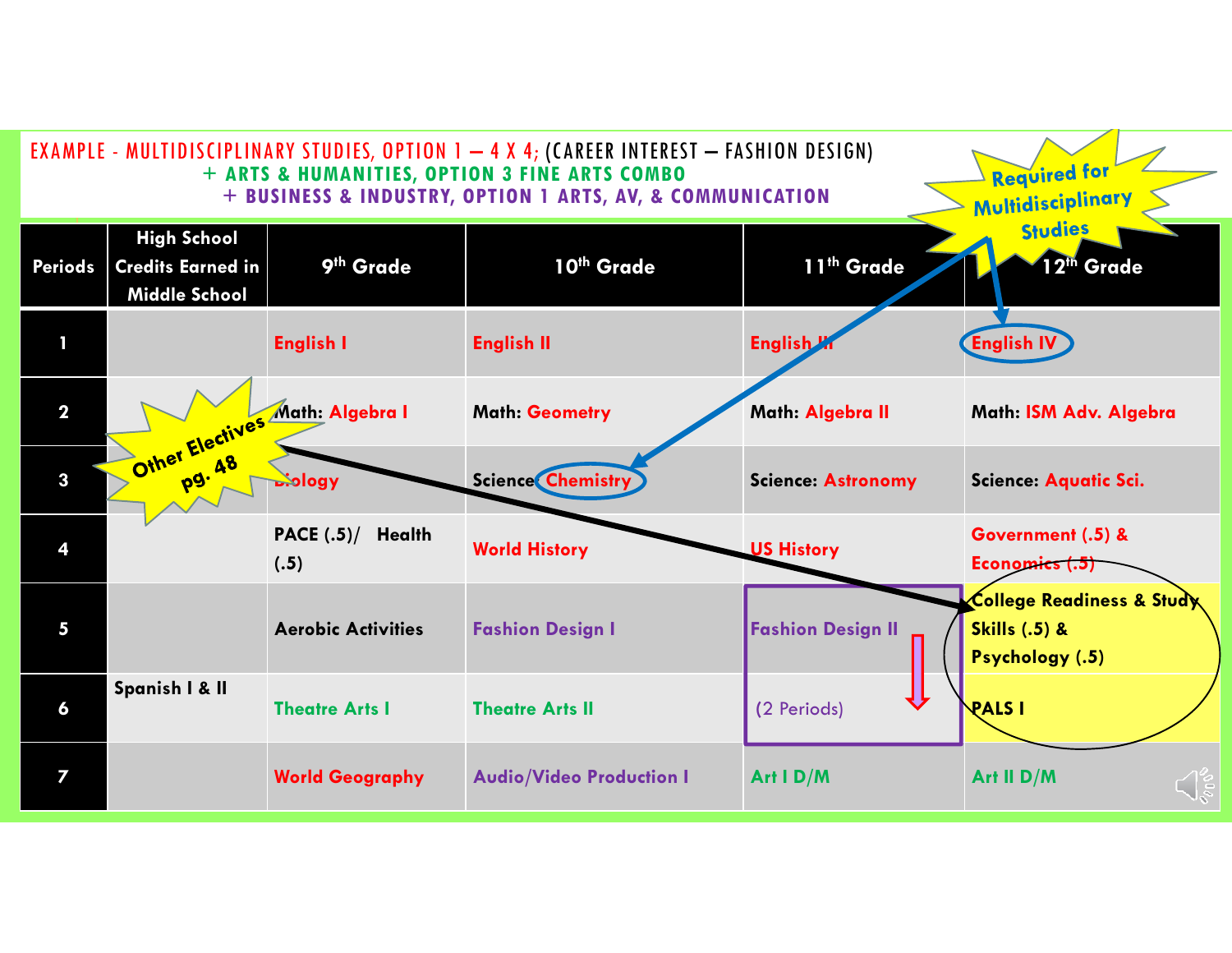| <b>EXAMPLE</b> - MULTIDISCIPLINARY STUDIES, OPTION $I - 4 X 4$ ; (CAREER INTEREST - FASHION DESIGN) | <b>Required for</b><br>Multidisciplinary                               |                           |                                 |                           |                                                                          |
|-----------------------------------------------------------------------------------------------------|------------------------------------------------------------------------|---------------------------|---------------------------------|---------------------------|--------------------------------------------------------------------------|
| <b>Periods</b>                                                                                      | <b>High School</b><br><b>Credits Earned in</b><br><b>Middle School</b> | 9th Grade                 | 10th Grade                      | 11th Grade                | <b>Studies</b><br>12 <sup>th</sup> Grade                                 |
|                                                                                                     |                                                                        | <b>English I</b>          | <b>English II</b>               | English!                  | <b>English IV</b>                                                        |
| $\overline{\mathbf{2}}$                                                                             | Other Electives Math: Algebra I                                        |                           | <b>Math: Geometry</b>           | Math: Algebra II          | Math: ISM Adv. Algebra                                                   |
| $\mathbf{3}$                                                                                        | pg. 48                                                                 | <b>ypolc<del>.</del></b>  | Science Chemistry               | <b>Science: Astronomy</b> | <b>Science: Aquatic Sci.</b>                                             |
| $\overline{4}$                                                                                      |                                                                        | PACE (.5)/ Health<br>(.5) | <b>World History</b>            | <b>US History</b>         | Government (.5) &<br>Economics (.5)                                      |
| $\overline{\mathbf{5}}$                                                                             |                                                                        | <b>Aerobic Activities</b> | <b>Fashion Design I</b>         | <b>Fashion Design II</b>  | College Readiness & Study<br><b>Skills (.5) &amp;</b><br>Psychology (.5) |
| 6                                                                                                   | Spanish I & II                                                         | <b>Theatre Arts I</b>     | <b>Theatre Arts II</b>          | (2 Periods)               | <b>PALS I</b>                                                            |
| 7                                                                                                   |                                                                        | <b>World Geography</b>    | <b>Audio/Video Production I</b> | Art I D/M                 | Art II D/M<br>$\sqrt{\frac{2}{3}}$                                       |